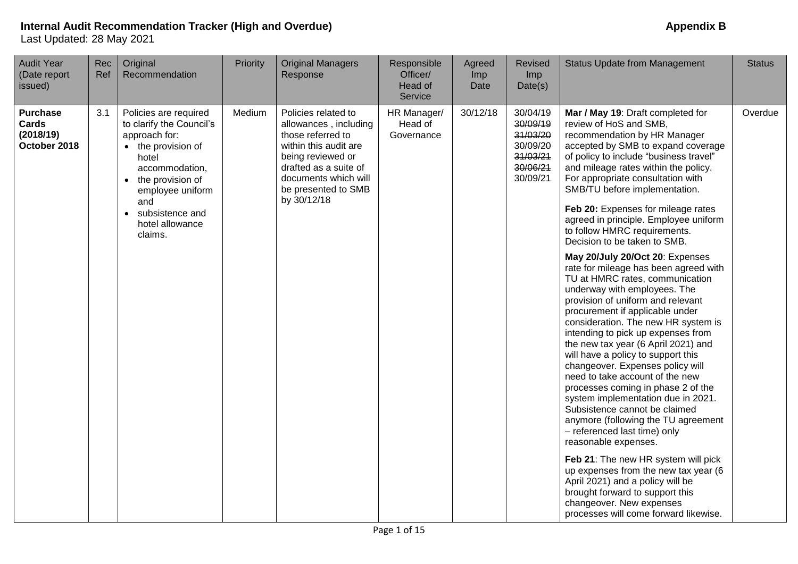| <b>Audit Year</b><br>(Date report<br>issued)          | Rec<br>Ref | Original<br>Recommendation                                                                                                                                                                                              | Priority | <b>Original Managers</b><br>Response                                                                                                                                                                   | Responsible<br>Officer/<br>Head of<br>Service | Agreed<br>Imp<br>Date | Revised<br>Imp<br>Date(s)                                                        | <b>Status Update from Management</b>                                                                                                                                                                                                                                                                                                                                                                                                                                                                                                                                                                                                                                                                                                                                                                                                                                                                                                                                                                                                                                                                                                                                                                                                                                                                                                    | <b>Status</b> |
|-------------------------------------------------------|------------|-------------------------------------------------------------------------------------------------------------------------------------------------------------------------------------------------------------------------|----------|--------------------------------------------------------------------------------------------------------------------------------------------------------------------------------------------------------|-----------------------------------------------|-----------------------|----------------------------------------------------------------------------------|-----------------------------------------------------------------------------------------------------------------------------------------------------------------------------------------------------------------------------------------------------------------------------------------------------------------------------------------------------------------------------------------------------------------------------------------------------------------------------------------------------------------------------------------------------------------------------------------------------------------------------------------------------------------------------------------------------------------------------------------------------------------------------------------------------------------------------------------------------------------------------------------------------------------------------------------------------------------------------------------------------------------------------------------------------------------------------------------------------------------------------------------------------------------------------------------------------------------------------------------------------------------------------------------------------------------------------------------|---------------|
| <b>Purchase</b><br>Cards<br>(2018/19)<br>October 2018 | 3.1        | Policies are required<br>to clarify the Council's<br>approach for:<br>• the provision of<br>hotel<br>accommodation,<br>• the provision of<br>employee uniform<br>and<br>• subsistence and<br>hotel allowance<br>claims. | Medium   | Policies related to<br>allowances, including<br>those referred to<br>within this audit are<br>being reviewed or<br>drafted as a suite of<br>documents which will<br>be presented to SMB<br>by 30/12/18 | HR Manager/<br>Head of<br>Governance          | 30/12/18              | 30/04/19<br>30/09/19<br>31/03/20<br>30/09/20<br>31/03/21<br>30/06/21<br>30/09/21 | Mar / May 19: Draft completed for<br>review of HoS and SMB,<br>recommendation by HR Manager<br>accepted by SMB to expand coverage<br>of policy to include "business travel"<br>and mileage rates within the policy.<br>For appropriate consultation with<br>SMB/TU before implementation.<br>Feb 20: Expenses for mileage rates<br>agreed in principle. Employee uniform<br>to follow HMRC requirements.<br>Decision to be taken to SMB.<br>May 20/July 20/Oct 20: Expenses<br>rate for mileage has been agreed with<br>TU at HMRC rates, communication<br>underway with employees. The<br>provision of uniform and relevant<br>procurement if applicable under<br>consideration. The new HR system is<br>intending to pick up expenses from<br>the new tax year (6 April 2021) and<br>will have a policy to support this<br>changeover. Expenses policy will<br>need to take account of the new<br>processes coming in phase 2 of the<br>system implementation due in 2021.<br>Subsistence cannot be claimed<br>anymore (following the TU agreement<br>- referenced last time) only<br>reasonable expenses.<br>Feb 21: The new HR system will pick<br>up expenses from the new tax year (6<br>April 2021) and a policy will be<br>brought forward to support this<br>changeover. New expenses<br>processes will come forward likewise. | Overdue       |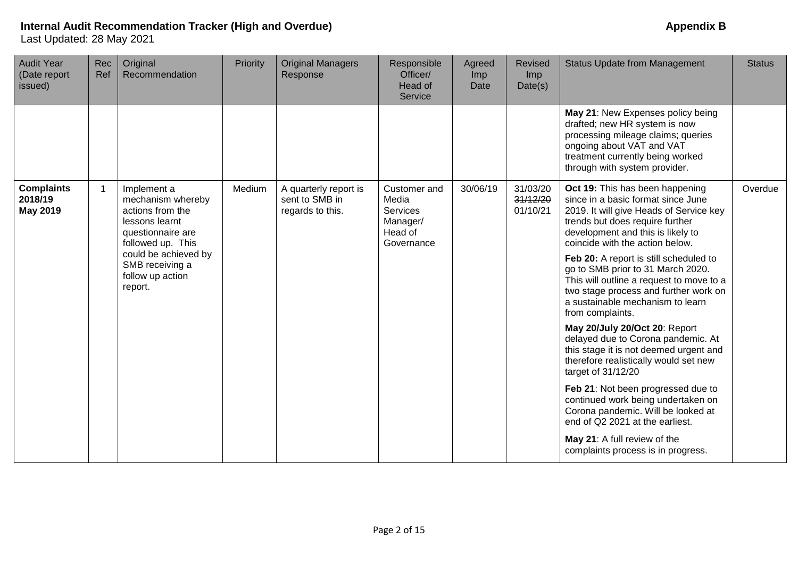| <b>Audit Year</b><br>(Date report<br>issued) | Rec<br>Ref  | Original<br>Recommendation                                                                                       | Priority | <b>Original Managers</b><br>Response                        | Responsible<br>Officer/<br>Head of<br>Service                                 | Agreed<br>Imp<br>Date | Revised<br><b>Imp</b><br>Date(s) | <b>Status Update from Management</b>                                                                                                                                                                                        | <b>Status</b> |
|----------------------------------------------|-------------|------------------------------------------------------------------------------------------------------------------|----------|-------------------------------------------------------------|-------------------------------------------------------------------------------|-----------------------|----------------------------------|-----------------------------------------------------------------------------------------------------------------------------------------------------------------------------------------------------------------------------|---------------|
|                                              |             |                                                                                                                  |          |                                                             |                                                                               |                       |                                  | May 21: New Expenses policy being<br>drafted; new HR system is now<br>processing mileage claims; queries<br>ongoing about VAT and VAT<br>treatment currently being worked<br>through with system provider.                  |               |
| <b>Complaints</b><br>2018/19<br>May 2019     | $\mathbf 1$ | Implement a<br>mechanism whereby<br>actions from the<br>lessons learnt<br>questionnaire are<br>followed up. This | Medium   | A quarterly report is<br>sent to SMB in<br>regards to this. | Customer and<br>Media<br><b>Services</b><br>Manager/<br>Head of<br>Governance | 30/06/19              | 31/03/20<br>31/12/20<br>01/10/21 | Oct 19: This has been happening<br>since in a basic format since June<br>2019. It will give Heads of Service key<br>trends but does require further<br>development and this is likely to<br>coincide with the action below. | Overdue       |
|                                              |             | could be achieved by<br>SMB receiving a<br>follow up action<br>report.                                           |          |                                                             |                                                                               |                       |                                  | Feb 20: A report is still scheduled to<br>go to SMB prior to 31 March 2020.<br>This will outline a request to move to a<br>two stage process and further work on<br>a sustainable mechanism to learn<br>from complaints.    |               |
|                                              |             |                                                                                                                  |          |                                                             |                                                                               |                       |                                  | May 20/July 20/Oct 20: Report<br>delayed due to Corona pandemic. At<br>this stage it is not deemed urgent and<br>therefore realistically would set new<br>target of 31/12/20                                                |               |
|                                              |             |                                                                                                                  |          |                                                             |                                                                               |                       |                                  | Feb 21: Not been progressed due to<br>continued work being undertaken on<br>Corona pandemic. Will be looked at<br>end of Q2 2021 at the earliest.                                                                           |               |
|                                              |             |                                                                                                                  |          |                                                             |                                                                               |                       |                                  | May 21: A full review of the<br>complaints process is in progress.                                                                                                                                                          |               |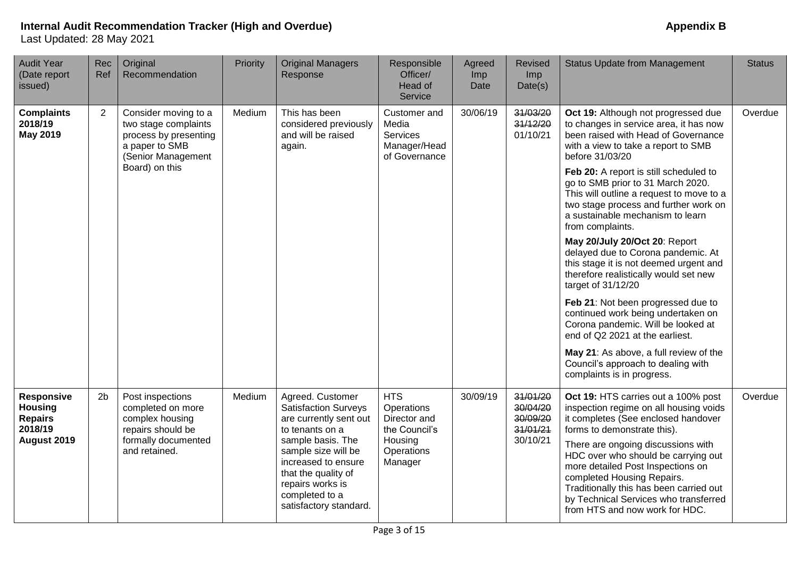| <b>Audit Year</b><br>(Date report<br>issued)                                    | Rec<br>Ref     | Original<br>Recommendation                                                                                                      | Priority | <b>Original Managers</b><br>Response                                                                                                                                                                                                                   | Responsible<br>Officer/<br>Head of<br>Service                                                 | Agreed<br>Imp<br>Date | Revised<br>Imp<br>Date(s)                                | <b>Status Update from Management</b>                                                                                                                                                                                                                                                                                                                                                                                                                                                                                                                                                                                                                                                                                                            | <b>Status</b> |
|---------------------------------------------------------------------------------|----------------|---------------------------------------------------------------------------------------------------------------------------------|----------|--------------------------------------------------------------------------------------------------------------------------------------------------------------------------------------------------------------------------------------------------------|-----------------------------------------------------------------------------------------------|-----------------------|----------------------------------------------------------|-------------------------------------------------------------------------------------------------------------------------------------------------------------------------------------------------------------------------------------------------------------------------------------------------------------------------------------------------------------------------------------------------------------------------------------------------------------------------------------------------------------------------------------------------------------------------------------------------------------------------------------------------------------------------------------------------------------------------------------------------|---------------|
| <b>Complaints</b><br>2018/19<br><b>May 2019</b>                                 | $\overline{2}$ | Consider moving to a<br>two stage complaints<br>process by presenting<br>a paper to SMB<br>(Senior Management<br>Board) on this | Medium   | This has been<br>considered previously<br>and will be raised<br>again.                                                                                                                                                                                 | Customer and<br>Media<br>Services<br>Manager/Head<br>of Governance                            | 30/06/19              | 31/03/20<br>31/12/20<br>01/10/21                         | Oct 19: Although not progressed due<br>to changes in service area, it has now<br>been raised with Head of Governance<br>with a view to take a report to SMB<br>before 31/03/20<br>Feb 20: A report is still scheduled to<br>go to SMB prior to 31 March 2020.<br>This will outline a request to move to a<br>two stage process and further work on<br>a sustainable mechanism to learn<br>from complaints.<br>May 20/July 20/Oct 20: Report<br>delayed due to Corona pandemic. At<br>this stage it is not deemed urgent and<br>therefore realistically would set new<br>target of 31/12/20<br>Feb 21: Not been progressed due to<br>continued work being undertaken on<br>Corona pandemic. Will be looked at<br>end of Q2 2021 at the earliest. | Overdue       |
|                                                                                 |                |                                                                                                                                 |          |                                                                                                                                                                                                                                                        |                                                                                               |                       |                                                          | May 21: As above, a full review of the<br>Council's approach to dealing with<br>complaints is in progress.                                                                                                                                                                                                                                                                                                                                                                                                                                                                                                                                                                                                                                      |               |
| <b>Responsive</b><br><b>Housing</b><br><b>Repairs</b><br>2018/19<br>August 2019 | 2 <sub>b</sub> | Post inspections<br>completed on more<br>complex housing<br>repairs should be<br>formally documented<br>and retained.           | Medium   | Agreed. Customer<br><b>Satisfaction Surveys</b><br>are currently sent out<br>to tenants on a<br>sample basis. The<br>sample size will be<br>increased to ensure<br>that the quality of<br>repairs works is<br>completed to a<br>satisfactory standard. | <b>HTS</b><br>Operations<br>Director and<br>the Council's<br>Housing<br>Operations<br>Manager | 30/09/19              | 31/01/20<br>30/04/20<br>30/09/20<br>31/01/21<br>30/10/21 | Oct 19: HTS carries out a 100% post<br>inspection regime on all housing voids<br>it completes (See enclosed handover<br>forms to demonstrate this).<br>There are ongoing discussions with<br>HDC over who should be carrying out<br>more detailed Post Inspections on<br>completed Housing Repairs.<br>Traditionally this has been carried out<br>by Technical Services who transferred<br>from HTS and now work for HDC.                                                                                                                                                                                                                                                                                                                       | Overdue       |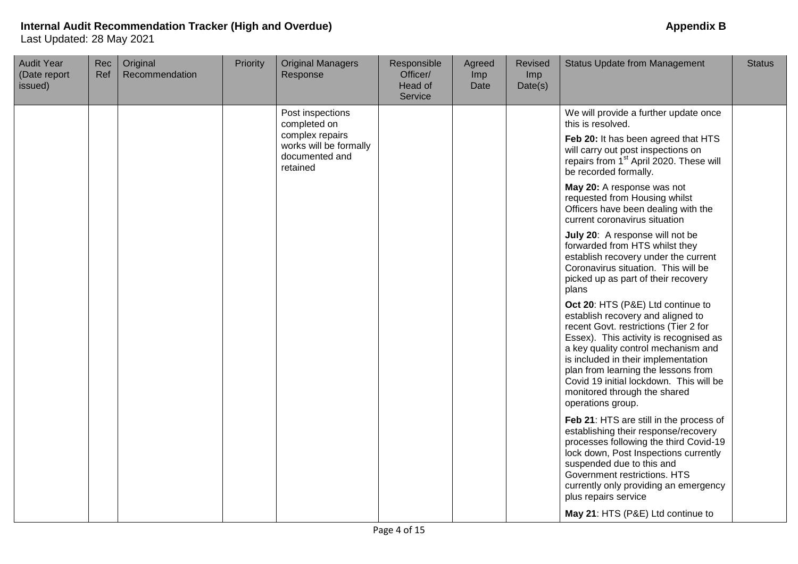| Audit Year<br>(Date report<br>issued) | Rec<br>Ref | Original<br>Recommendation | Priority | <b>Original Managers</b><br>Response                                    | Responsible<br>Officer/<br>Head of<br>Service | Agreed<br><b>Imp</b><br>Date | Revised<br>Imp<br>Date(s) | <b>Status Update from Management</b>                                                                                                                                                                                                                                                                                                                                           | <b>Status</b> |
|---------------------------------------|------------|----------------------------|----------|-------------------------------------------------------------------------|-----------------------------------------------|------------------------------|---------------------------|--------------------------------------------------------------------------------------------------------------------------------------------------------------------------------------------------------------------------------------------------------------------------------------------------------------------------------------------------------------------------------|---------------|
|                                       |            |                            |          | Post inspections<br>completed on                                        |                                               |                              |                           | We will provide a further update once<br>this is resolved.                                                                                                                                                                                                                                                                                                                     |               |
|                                       |            |                            |          | complex repairs<br>works will be formally<br>documented and<br>retained |                                               |                              |                           | Feb 20: It has been agreed that HTS<br>will carry out post inspections on<br>repairs from 1 <sup>st</sup> April 2020. These will<br>be recorded formally.                                                                                                                                                                                                                      |               |
|                                       |            |                            |          |                                                                         |                                               |                              |                           | May 20: A response was not<br>requested from Housing whilst<br>Officers have been dealing with the<br>current coronavirus situation                                                                                                                                                                                                                                            |               |
|                                       |            |                            |          |                                                                         |                                               |                              |                           | July 20: A response will not be<br>forwarded from HTS whilst they<br>establish recovery under the current<br>Coronavirus situation. This will be<br>picked up as part of their recovery<br>plans                                                                                                                                                                               |               |
|                                       |            |                            |          |                                                                         |                                               |                              |                           | Oct 20: HTS (P&E) Ltd continue to<br>establish recovery and aligned to<br>recent Govt. restrictions (Tier 2 for<br>Essex). This activity is recognised as<br>a key quality control mechanism and<br>is included in their implementation<br>plan from learning the lessons from<br>Covid 19 initial lockdown. This will be<br>monitored through the shared<br>operations group. |               |
|                                       |            |                            |          |                                                                         |                                               |                              |                           | Feb 21: HTS are still in the process of<br>establishing their response/recovery<br>processes following the third Covid-19<br>lock down, Post Inspections currently<br>suspended due to this and<br>Government restrictions. HTS<br>currently only providing an emergency<br>plus repairs service                                                                               |               |
|                                       |            |                            |          |                                                                         |                                               |                              |                           | May 21: HTS (P&E) Ltd continue to                                                                                                                                                                                                                                                                                                                                              |               |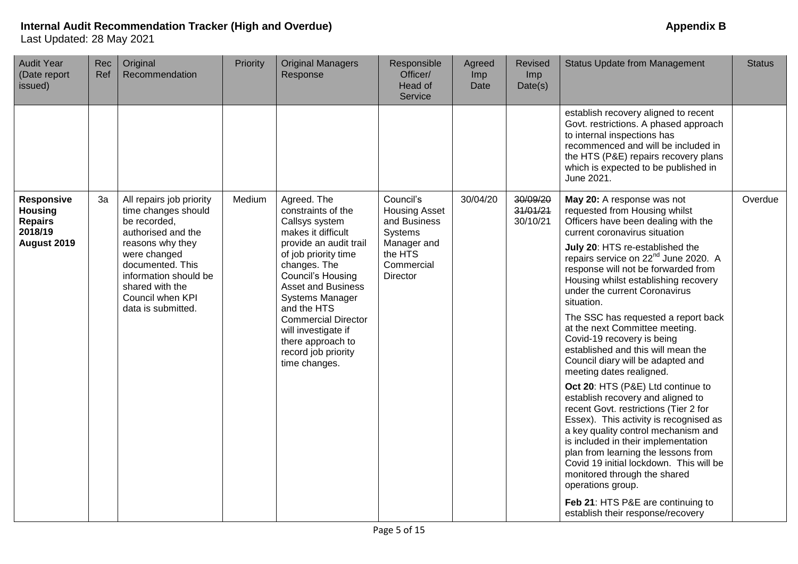| <b>Audit Year</b><br>(Date report<br>issued)                                    | Rec<br>Ref | Original<br>Recommendation                                                                                                                                                                                                          | Priority | <b>Original Managers</b><br>Response                                                                                                                                                                                                                                                                                                                     | Responsible<br>Officer/<br>Head of<br>Service                                                                    | Agreed<br>Imp<br>Date | Revised<br>Imp<br>Date(s)        | <b>Status Update from Management</b>                                                                                                                                                                                                                                                                                                                                                                                                                                                                                                                                                                                                                                                                                                                                                                                                                                                                                                                                                                                               | <b>Status</b> |
|---------------------------------------------------------------------------------|------------|-------------------------------------------------------------------------------------------------------------------------------------------------------------------------------------------------------------------------------------|----------|----------------------------------------------------------------------------------------------------------------------------------------------------------------------------------------------------------------------------------------------------------------------------------------------------------------------------------------------------------|------------------------------------------------------------------------------------------------------------------|-----------------------|----------------------------------|------------------------------------------------------------------------------------------------------------------------------------------------------------------------------------------------------------------------------------------------------------------------------------------------------------------------------------------------------------------------------------------------------------------------------------------------------------------------------------------------------------------------------------------------------------------------------------------------------------------------------------------------------------------------------------------------------------------------------------------------------------------------------------------------------------------------------------------------------------------------------------------------------------------------------------------------------------------------------------------------------------------------------------|---------------|
|                                                                                 |            |                                                                                                                                                                                                                                     |          |                                                                                                                                                                                                                                                                                                                                                          |                                                                                                                  |                       |                                  | establish recovery aligned to recent<br>Govt. restrictions. A phased approach<br>to internal inspections has<br>recommenced and will be included in<br>the HTS (P&E) repairs recovery plans<br>which is expected to be published in<br>June 2021.                                                                                                                                                                                                                                                                                                                                                                                                                                                                                                                                                                                                                                                                                                                                                                                  |               |
| <b>Responsive</b><br><b>Housing</b><br><b>Repairs</b><br>2018/19<br>August 2019 | 3a         | All repairs job priority<br>time changes should<br>be recorded,<br>authorised and the<br>reasons why they<br>were changed<br>documented. This<br>information should be<br>shared with the<br>Council when KPI<br>data is submitted. | Medium   | Agreed. The<br>constraints of the<br>Callsys system<br>makes it difficult<br>provide an audit trail<br>of job priority time<br>changes. The<br>Council's Housing<br><b>Asset and Business</b><br><b>Systems Manager</b><br>and the HTS<br><b>Commercial Director</b><br>will investigate if<br>there approach to<br>record job priority<br>time changes. | Council's<br><b>Housing Asset</b><br>and Business<br>Systems<br>Manager and<br>the HTS<br>Commercial<br>Director | 30/04/20              | 30/09/20<br>31/01/21<br>30/10/21 | May 20: A response was not<br>requested from Housing whilst<br>Officers have been dealing with the<br>current coronavirus situation<br>July 20: HTS re-established the<br>repairs service on 22 <sup>nd</sup> June 2020. A<br>response will not be forwarded from<br>Housing whilst establishing recovery<br>under the current Coronavirus<br>situation.<br>The SSC has requested a report back<br>at the next Committee meeting.<br>Covid-19 recovery is being<br>established and this will mean the<br>Council diary will be adapted and<br>meeting dates realigned.<br>Oct 20: HTS (P&E) Ltd continue to<br>establish recovery and aligned to<br>recent Govt. restrictions (Tier 2 for<br>Essex). This activity is recognised as<br>a key quality control mechanism and<br>is included in their implementation<br>plan from learning the lessons from<br>Covid 19 initial lockdown. This will be<br>monitored through the shared<br>operations group.<br>Feb 21: HTS P&E are continuing to<br>establish their response/recovery | Overdue       |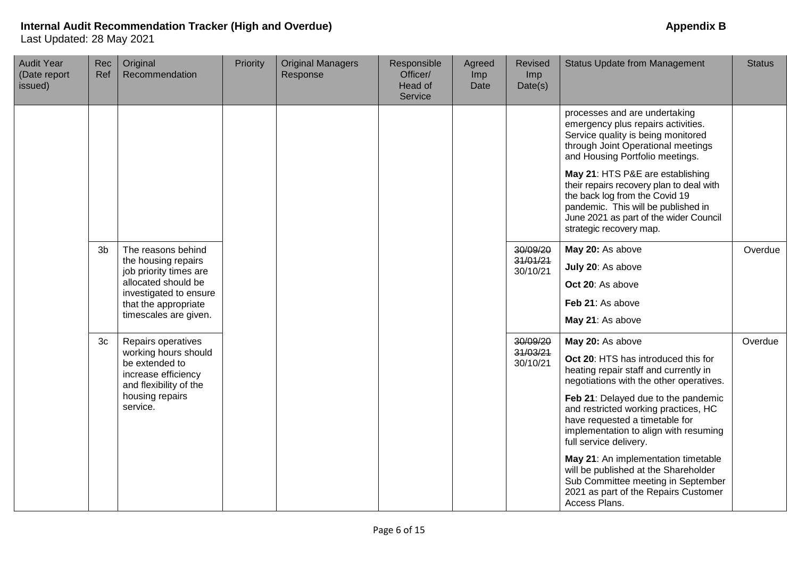| <b>Audit Year</b><br>(Date report<br>issued) | Rec<br>Ref     | Original<br>Recommendation                                                                                                                                            | Priority | <b>Original Managers</b><br>Response | Responsible<br>Officer/<br>Head of<br>Service | Agreed<br>Imp<br>Date | <b>Revised</b><br>Imp<br>Date(s) | <b>Status Update from Management</b>                                                                                                                                                                                                                                                                                                                                                                                                                                                                          | <b>Status</b> |
|----------------------------------------------|----------------|-----------------------------------------------------------------------------------------------------------------------------------------------------------------------|----------|--------------------------------------|-----------------------------------------------|-----------------------|----------------------------------|---------------------------------------------------------------------------------------------------------------------------------------------------------------------------------------------------------------------------------------------------------------------------------------------------------------------------------------------------------------------------------------------------------------------------------------------------------------------------------------------------------------|---------------|
|                                              |                |                                                                                                                                                                       |          |                                      |                                               |                       |                                  | processes and are undertaking<br>emergency plus repairs activities.<br>Service quality is being monitored<br>through Joint Operational meetings<br>and Housing Portfolio meetings.                                                                                                                                                                                                                                                                                                                            |               |
|                                              |                |                                                                                                                                                                       |          |                                      |                                               |                       |                                  | May 21: HTS P&E are establishing<br>their repairs recovery plan to deal with<br>the back log from the Covid 19<br>pandemic. This will be published in<br>June 2021 as part of the wider Council<br>strategic recovery map.                                                                                                                                                                                                                                                                                    |               |
|                                              | 3b             | The reasons behind<br>the housing repairs<br>job priority times are<br>allocated should be<br>investigated to ensure<br>that the appropriate<br>timescales are given. |          |                                      |                                               |                       | 30/09/20<br>31/01/21<br>30/10/21 | May 20: As above<br>July 20: As above<br>Oct 20: As above<br>Feb 21: As above<br>May 21: As above                                                                                                                                                                                                                                                                                                                                                                                                             | Overdue       |
|                                              | 3 <sub>c</sub> | Repairs operatives<br>working hours should<br>be extended to<br>increase efficiency<br>and flexibility of the<br>housing repairs<br>service.                          |          |                                      |                                               |                       | 30/09/20<br>31/03/21<br>30/10/21 | May 20: As above<br>Oct 20: HTS has introduced this for<br>heating repair staff and currently in<br>negotiations with the other operatives.<br>Feb 21: Delayed due to the pandemic<br>and restricted working practices, HC<br>have requested a timetable for<br>implementation to align with resuming<br>full service delivery.<br>May 21: An implementation timetable<br>will be published at the Shareholder<br>Sub Committee meeting in September<br>2021 as part of the Repairs Customer<br>Access Plans. | Overdue       |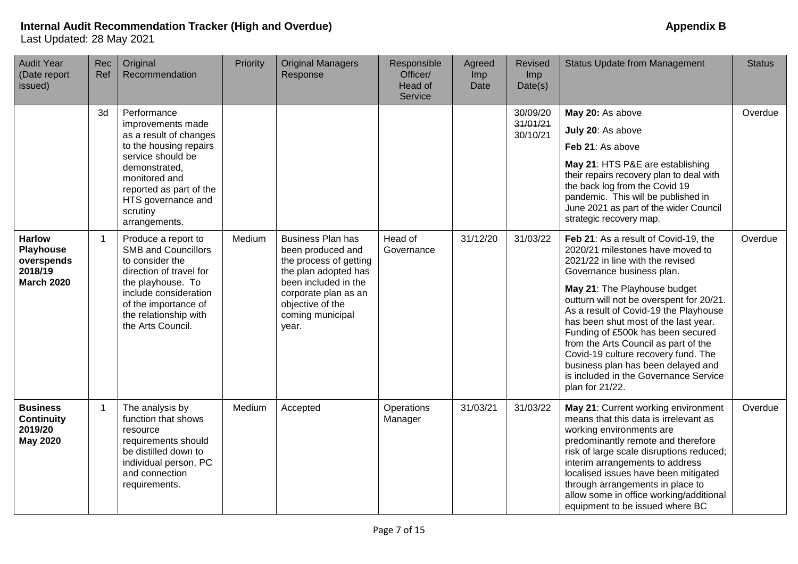| <b>Audit Year</b><br>(Date report<br>issued)                             | Rec<br>Ref   | Original<br>Recommendation                                                                                                                                                                                                | Priority | <b>Original Managers</b><br>Response                                                                                                                                                             | Responsible<br>Officer/<br>Head of<br>Service | Agreed<br>Imp<br>Date | Revised<br>Imp<br>Date(s)        | <b>Status Update from Management</b>                                                                                                                                                                                                                                                                                                                                                                                                                                                                                         | <b>Status</b> |
|--------------------------------------------------------------------------|--------------|---------------------------------------------------------------------------------------------------------------------------------------------------------------------------------------------------------------------------|----------|--------------------------------------------------------------------------------------------------------------------------------------------------------------------------------------------------|-----------------------------------------------|-----------------------|----------------------------------|------------------------------------------------------------------------------------------------------------------------------------------------------------------------------------------------------------------------------------------------------------------------------------------------------------------------------------------------------------------------------------------------------------------------------------------------------------------------------------------------------------------------------|---------------|
|                                                                          | 3d           | Performance<br>improvements made<br>as a result of changes<br>to the housing repairs<br>service should be<br>demonstrated,<br>monitored and<br>reported as part of the<br>HTS governance and<br>scrutiny<br>arrangements. |          |                                                                                                                                                                                                  |                                               |                       | 30/09/20<br>31/01/21<br>30/10/21 | May 20: As above<br>July 20: As above<br>Feb 21: As above<br>May 21: HTS P&E are establishing<br>their repairs recovery plan to deal with<br>the back log from the Covid 19<br>pandemic. This will be published in<br>June 2021 as part of the wider Council<br>strategic recovery map.                                                                                                                                                                                                                                      | Overdue       |
| <b>Harlow</b><br>Playhouse<br>overspends<br>2018/19<br><b>March 2020</b> | $\mathbf{1}$ | Produce a report to<br><b>SMB and Councillors</b><br>to consider the<br>direction of travel for<br>the playhouse. To<br>include consideration<br>of the importance of<br>the relationship with<br>the Arts Council.       | Medium   | <b>Business Plan has</b><br>been produced and<br>the process of getting<br>the plan adopted has<br>been included in the<br>corporate plan as an<br>objective of the<br>coming municipal<br>year. | Head of<br>Governance                         | 31/12/20              | 31/03/22                         | Feb 21: As a result of Covid-19, the<br>2020/21 milestones have moved to<br>2021/22 in line with the revised<br>Governance business plan.<br>May 21: The Playhouse budget<br>outturn will not be overspent for 20/21.<br>As a result of Covid-19 the Playhouse<br>has been shut most of the last year.<br>Funding of £500k has been secured<br>from the Arts Council as part of the<br>Covid-19 culture recovery fund. The<br>business plan has been delayed and<br>is included in the Governance Service<br>plan for 21/22. | Overdue       |
| <b>Business</b><br><b>Continuity</b><br>2019/20<br><b>May 2020</b>       | $\mathbf{1}$ | The analysis by<br>function that shows<br>resource<br>requirements should<br>be distilled down to<br>individual person, PC<br>and connection<br>requirements.                                                             | Medium   | Accepted                                                                                                                                                                                         | Operations<br>Manager                         | 31/03/21              | 31/03/22                         | May 21: Current working environment<br>means that this data is irrelevant as<br>working environments are<br>predominantly remote and therefore<br>risk of large scale disruptions reduced;<br>interim arrangements to address<br>localised issues have been mitigated<br>through arrangements in place to<br>allow some in office working/additional<br>equipment to be issued where BC                                                                                                                                      | Overdue       |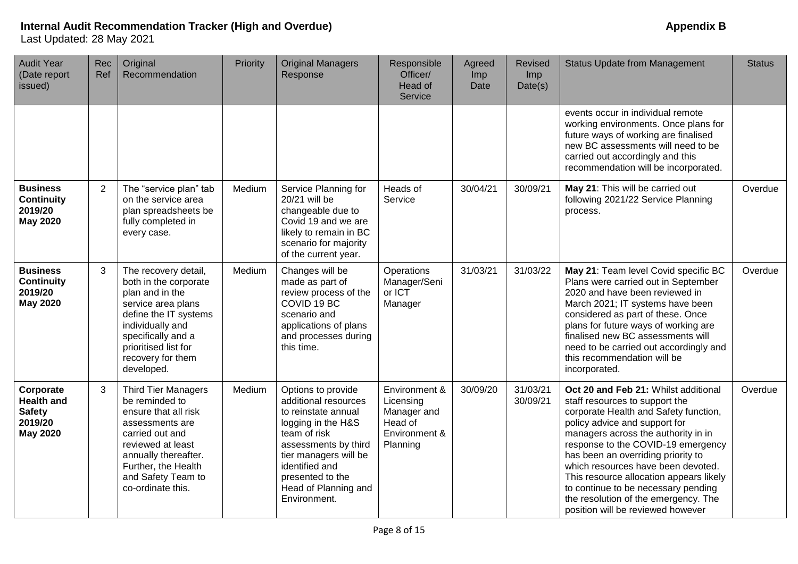| <b>Audit Year</b><br>(Date report<br>issued)                                  | Rec<br>Ref     | Original<br>Recommendation                                                                                                                                                                                                | Priority | <b>Original Managers</b><br>Response                                                                                                                                                                                                   | Responsible<br>Officer/<br>Head of<br>Service                                     | Agreed<br>Imp<br>Date | <b>Revised</b><br>Imp<br>Date(s) | <b>Status Update from Management</b>                                                                                                                                                                                                                                                                                                                                                                                                                                     | <b>Status</b> |
|-------------------------------------------------------------------------------|----------------|---------------------------------------------------------------------------------------------------------------------------------------------------------------------------------------------------------------------------|----------|----------------------------------------------------------------------------------------------------------------------------------------------------------------------------------------------------------------------------------------|-----------------------------------------------------------------------------------|-----------------------|----------------------------------|--------------------------------------------------------------------------------------------------------------------------------------------------------------------------------------------------------------------------------------------------------------------------------------------------------------------------------------------------------------------------------------------------------------------------------------------------------------------------|---------------|
|                                                                               |                |                                                                                                                                                                                                                           |          |                                                                                                                                                                                                                                        |                                                                                   |                       |                                  | events occur in individual remote<br>working environments. Once plans for<br>future ways of working are finalised<br>new BC assessments will need to be<br>carried out accordingly and this<br>recommendation will be incorporated.                                                                                                                                                                                                                                      |               |
| <b>Business</b><br><b>Continuity</b><br>2019/20<br><b>May 2020</b>            | $\overline{2}$ | The "service plan" tab<br>on the service area<br>plan spreadsheets be<br>fully completed in<br>every case.                                                                                                                | Medium   | Service Planning for<br>20/21 will be<br>changeable due to<br>Covid 19 and we are<br>likely to remain in BC<br>scenario for majority<br>of the current year.                                                                           | Heads of<br>Service                                                               | 30/04/21              | 30/09/21                         | May 21: This will be carried out<br>following 2021/22 Service Planning<br>process.                                                                                                                                                                                                                                                                                                                                                                                       | Overdue       |
| <b>Business</b><br><b>Continuity</b><br>2019/20<br><b>May 2020</b>            | 3              | The recovery detail,<br>both in the corporate<br>plan and in the<br>service area plans<br>define the IT systems<br>individually and<br>specifically and a<br>prioritised list for<br>recovery for them<br>developed.      | Medium   | Changes will be<br>made as part of<br>review process of the<br>COVID 19 BC<br>scenario and<br>applications of plans<br>and processes during<br>this time.                                                                              | Operations<br>Manager/Seni<br>or ICT<br>Manager                                   | 31/03/21              | 31/03/22                         | May 21: Team level Covid specific BC<br>Plans were carried out in September<br>2020 and have been reviewed in<br>March 2021; IT systems have been<br>considered as part of these. Once<br>plans for future ways of working are<br>finalised new BC assessments will<br>need to be carried out accordingly and<br>this recommendation will be<br>incorporated.                                                                                                            | Overdue       |
| Corporate<br><b>Health and</b><br><b>Safety</b><br>2019/20<br><b>May 2020</b> | 3              | <b>Third Tier Managers</b><br>be reminded to<br>ensure that all risk<br>assessments are<br>carried out and<br>reviewed at least<br>annually thereafter.<br>Further, the Health<br>and Safety Team to<br>co-ordinate this. | Medium   | Options to provide<br>additional resources<br>to reinstate annual<br>logging in the H&S<br>team of risk<br>assessments by third<br>tier managers will be<br>identified and<br>presented to the<br>Head of Planning and<br>Environment. | Environment &<br>Licensing<br>Manager and<br>Head of<br>Environment &<br>Planning | 30/09/20              | 31/03/21<br>30/09/21             | Oct 20 and Feb 21: Whilst additional<br>staff resources to support the<br>corporate Health and Safety function,<br>policy advice and support for<br>managers across the authority in in<br>response to the COVID-19 emergency<br>has been an overriding priority to<br>which resources have been devoted.<br>This resource allocation appears likely<br>to continue to be necessary pending<br>the resolution of the emergency. The<br>position will be reviewed however | Overdue       |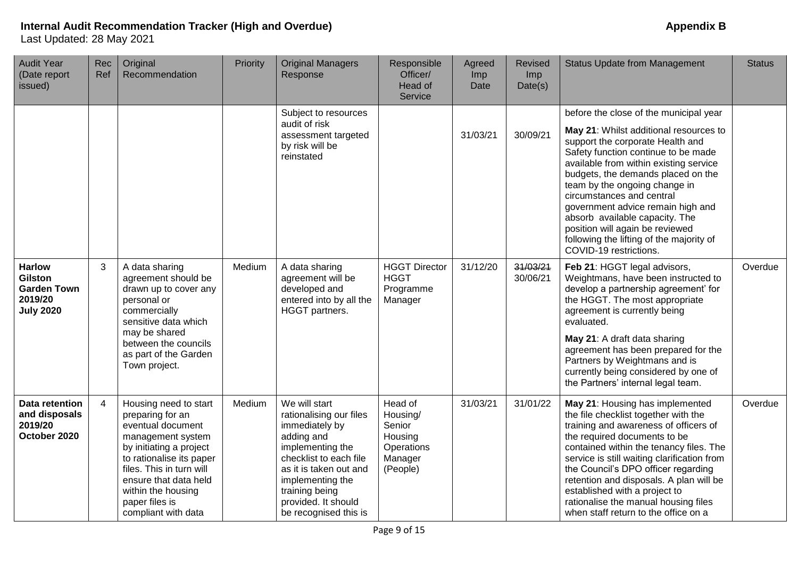| <b>Audit Year</b><br>(Date report<br>issued)                                         | Rec<br>Ref     | Original<br>Recommendation                                                                                                                                                                                                                                     | Priority | <b>Original Managers</b><br>Response                                                                                                                                                                                                   | Responsible<br>Officer/<br>Head of<br>Service                                 | Agreed<br>Imp<br>Date | <b>Revised</b><br>Imp<br>Date(s) | <b>Status Update from Management</b>                                                                                                                                                                                                                                                                                                                                                                                                                                                      | <b>Status</b> |
|--------------------------------------------------------------------------------------|----------------|----------------------------------------------------------------------------------------------------------------------------------------------------------------------------------------------------------------------------------------------------------------|----------|----------------------------------------------------------------------------------------------------------------------------------------------------------------------------------------------------------------------------------------|-------------------------------------------------------------------------------|-----------------------|----------------------------------|-------------------------------------------------------------------------------------------------------------------------------------------------------------------------------------------------------------------------------------------------------------------------------------------------------------------------------------------------------------------------------------------------------------------------------------------------------------------------------------------|---------------|
|                                                                                      |                |                                                                                                                                                                                                                                                                |          | Subject to resources<br>audit of risk<br>assessment targeted<br>by risk will be<br>reinstated                                                                                                                                          |                                                                               | 31/03/21              | 30/09/21                         | before the close of the municipal year<br>May 21: Whilst additional resources to<br>support the corporate Health and<br>Safety function continue to be made<br>available from within existing service<br>budgets, the demands placed on the<br>team by the ongoing change in<br>circumstances and central<br>government advice remain high and<br>absorb available capacity. The<br>position will again be reviewed<br>following the lifting of the majority of<br>COVID-19 restrictions. |               |
| <b>Harlow</b><br><b>Gilston</b><br><b>Garden Town</b><br>2019/20<br><b>July 2020</b> | 3              | A data sharing<br>agreement should be<br>drawn up to cover any<br>personal or<br>commercially<br>sensitive data which<br>may be shared<br>between the councils<br>as part of the Garden<br>Town project.                                                       | Medium   | A data sharing<br>agreement will be<br>developed and<br>entered into by all the<br>HGGT partners.                                                                                                                                      | <b>HGGT Director</b><br><b>HGGT</b><br>Programme<br>Manager                   | 31/12/20              | 31/03/21<br>30/06/21             | Feb 21: HGGT legal advisors,<br>Weightmans, have been instructed to<br>develop a partnership agreement' for<br>the HGGT. The most appropriate<br>agreement is currently being<br>evaluated.<br>May 21: A draft data sharing<br>agreement has been prepared for the<br>Partners by Weightmans and is<br>currently being considered by one of<br>the Partners' internal legal team.                                                                                                         | Overdue       |
| Data retention<br>and disposals<br>2019/20<br>October 2020                           | $\overline{4}$ | Housing need to start<br>preparing for an<br>eventual document<br>management system<br>by initiating a project<br>to rationalise its paper<br>files. This in turn will<br>ensure that data held<br>within the housing<br>paper files is<br>compliant with data | Medium   | We will start<br>rationalising our files<br>immediately by<br>adding and<br>implementing the<br>checklist to each file<br>as it is taken out and<br>implementing the<br>training being<br>provided. It should<br>be recognised this is | Head of<br>Housing/<br>Senior<br>Housing<br>Operations<br>Manager<br>(People) | 31/03/21              | 31/01/22                         | May 21: Housing has implemented<br>the file checklist together with the<br>training and awareness of officers of<br>the required documents to be<br>contained within the tenancy files. The<br>service is still waiting clarification from<br>the Council's DPO officer regarding<br>retention and disposals. A plan will be<br>established with a project to<br>rationalise the manual housing files<br>when staff return to the office on a                                             | Overdue       |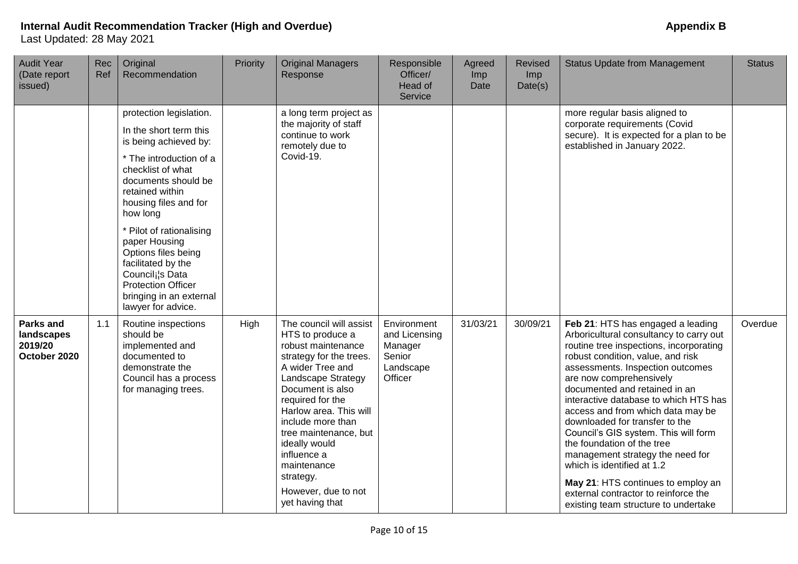| <b>Audit Year</b><br>(Date report<br>issued)       | Rec<br>Ref | Original<br>Recommendation                                                                                                                                                                           | Priority | <b>Original Managers</b><br>Response                                                                                                                                                                                                                                                                                                                         | Responsible<br>Officer/<br>Head of<br>Service                             | Agreed<br>Imp<br>Date | <b>Revised</b><br>Imp<br>Date(s) | <b>Status Update from Management</b>                                                                                                                                                                                                                                                                                                                                                                                                                                                                                                                                                                                                       | <b>Status</b> |
|----------------------------------------------------|------------|------------------------------------------------------------------------------------------------------------------------------------------------------------------------------------------------------|----------|--------------------------------------------------------------------------------------------------------------------------------------------------------------------------------------------------------------------------------------------------------------------------------------------------------------------------------------------------------------|---------------------------------------------------------------------------|-----------------------|----------------------------------|--------------------------------------------------------------------------------------------------------------------------------------------------------------------------------------------------------------------------------------------------------------------------------------------------------------------------------------------------------------------------------------------------------------------------------------------------------------------------------------------------------------------------------------------------------------------------------------------------------------------------------------------|---------------|
|                                                    |            | protection legislation.                                                                                                                                                                              |          | a long term project as                                                                                                                                                                                                                                                                                                                                       |                                                                           |                       |                                  | more regular basis aligned to                                                                                                                                                                                                                                                                                                                                                                                                                                                                                                                                                                                                              |               |
|                                                    |            | In the short term this<br>is being achieved by:                                                                                                                                                      |          | the majority of staff<br>continue to work<br>remotely due to                                                                                                                                                                                                                                                                                                 |                                                                           |                       |                                  | corporate requirements (Covid<br>secure). It is expected for a plan to be<br>established in January 2022.                                                                                                                                                                                                                                                                                                                                                                                                                                                                                                                                  |               |
|                                                    |            | * The introduction of a<br>checklist of what<br>documents should be<br>retained within<br>housing files and for<br>how long                                                                          |          | Covid-19.                                                                                                                                                                                                                                                                                                                                                    |                                                                           |                       |                                  |                                                                                                                                                                                                                                                                                                                                                                                                                                                                                                                                                                                                                                            |               |
|                                                    |            | * Pilot of rationalising<br>paper Housing<br>Options files being<br>facilitated by the<br>Council <sub>i</sub> 's Data<br><b>Protection Officer</b><br>bringing in an external<br>lawyer for advice. |          |                                                                                                                                                                                                                                                                                                                                                              |                                                                           |                       |                                  |                                                                                                                                                                                                                                                                                                                                                                                                                                                                                                                                                                                                                                            |               |
| Parks and<br>landscapes<br>2019/20<br>October 2020 | 1.1        | Routine inspections<br>should be<br>implemented and<br>documented to<br>demonstrate the<br>Council has a process<br>for managing trees.                                                              | High     | The council will assist<br>HTS to produce a<br>robust maintenance<br>strategy for the trees.<br>A wider Tree and<br>Landscape Strategy<br>Document is also<br>required for the<br>Harlow area. This will<br>include more than<br>tree maintenance, but<br>ideally would<br>influence a<br>maintenance<br>strategy.<br>However, due to not<br>yet having that | Environment<br>and Licensing<br>Manager<br>Senior<br>Landscape<br>Officer | 31/03/21              | 30/09/21                         | Feb 21: HTS has engaged a leading<br>Arboricultural consultancy to carry out<br>routine tree inspections, incorporating<br>robust condition, value, and risk<br>assessments. Inspection outcomes<br>are now comprehensively<br>documented and retained in an<br>interactive database to which HTS has<br>access and from which data may be<br>downloaded for transfer to the<br>Council's GIS system. This will form<br>the foundation of the tree<br>management strategy the need for<br>which is identified at 1.2<br>May 21: HTS continues to employ an<br>external contractor to reinforce the<br>existing team structure to undertake | Overdue       |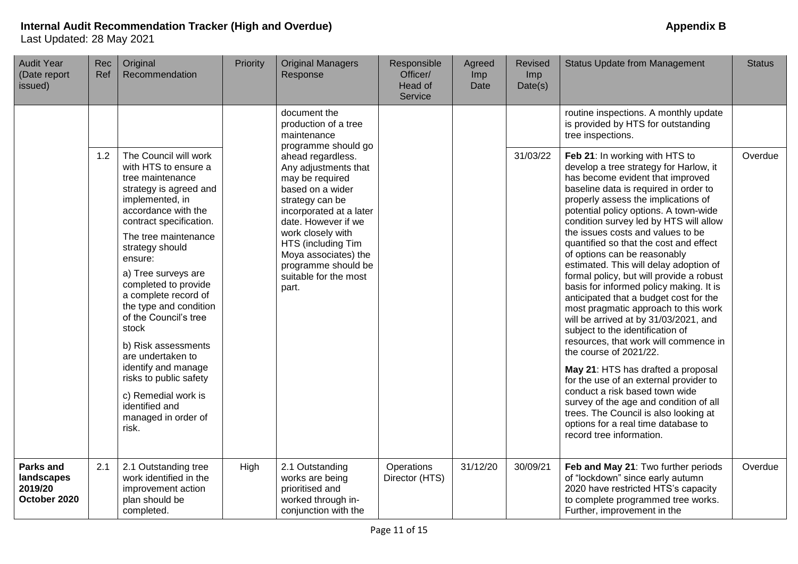| <b>Audit Year</b><br>(Date report<br>issued)              | Rec<br>Ref | Original<br>Recommendation                                                                                                                                                                                                                                                                                                                                                                                                                                                                                             | Priority | <b>Original Managers</b><br>Response                                                                                                                                                                                                                                              | Responsible<br>Officer/<br>Head of<br>Service | Agreed<br>Imp<br>Date | Revised<br>Imp<br>Date(s) | <b>Status Update from Management</b>                                                                                                                                                                                                                                                                                                                                                                                                                                                                                                                                                                                                                                                                                                                                                                                                                                                                                                                                   | <b>Status</b> |
|-----------------------------------------------------------|------------|------------------------------------------------------------------------------------------------------------------------------------------------------------------------------------------------------------------------------------------------------------------------------------------------------------------------------------------------------------------------------------------------------------------------------------------------------------------------------------------------------------------------|----------|-----------------------------------------------------------------------------------------------------------------------------------------------------------------------------------------------------------------------------------------------------------------------------------|-----------------------------------------------|-----------------------|---------------------------|------------------------------------------------------------------------------------------------------------------------------------------------------------------------------------------------------------------------------------------------------------------------------------------------------------------------------------------------------------------------------------------------------------------------------------------------------------------------------------------------------------------------------------------------------------------------------------------------------------------------------------------------------------------------------------------------------------------------------------------------------------------------------------------------------------------------------------------------------------------------------------------------------------------------------------------------------------------------|---------------|
|                                                           |            |                                                                                                                                                                                                                                                                                                                                                                                                                                                                                                                        |          | document the<br>production of a tree<br>maintenance<br>programme should go                                                                                                                                                                                                        |                                               |                       |                           | routine inspections. A monthly update<br>is provided by HTS for outstanding<br>tree inspections.                                                                                                                                                                                                                                                                                                                                                                                                                                                                                                                                                                                                                                                                                                                                                                                                                                                                       |               |
|                                                           | 1.2        | The Council will work<br>with HTS to ensure a<br>tree maintenance<br>strategy is agreed and<br>implemented, in<br>accordance with the<br>contract specification.<br>The tree maintenance<br>strategy should<br>ensure:<br>a) Tree surveys are<br>completed to provide<br>a complete record of<br>the type and condition<br>of the Council's tree<br>stock<br>b) Risk assessments<br>are undertaken to<br>identify and manage<br>risks to public safety<br>c) Remedial work is<br>identified and<br>managed in order of |          | ahead regardless.<br>Any adjustments that<br>may be required<br>based on a wider<br>strategy can be<br>incorporated at a later<br>date. However if we<br>work closely with<br>HTS (including Tim<br>Moya associates) the<br>programme should be<br>suitable for the most<br>part. |                                               |                       | 31/03/22                  | Feb 21: In working with HTS to<br>develop a tree strategy for Harlow, it<br>has become evident that improved<br>baseline data is required in order to<br>properly assess the implications of<br>potential policy options. A town-wide<br>condition survey led by HTS will allow<br>the issues costs and values to be<br>quantified so that the cost and effect<br>of options can be reasonably<br>estimated. This will delay adoption of<br>formal policy, but will provide a robust<br>basis for informed policy making. It is<br>anticipated that a budget cost for the<br>most pragmatic approach to this work<br>will be arrived at by 31/03/2021, and<br>subject to the identification of<br>resources, that work will commence in<br>the course of 2021/22.<br>May 21: HTS has drafted a proposal<br>for the use of an external provider to<br>conduct a risk based town wide<br>survey of the age and condition of all<br>trees. The Council is also looking at | Overdue       |
|                                                           |            | risk.                                                                                                                                                                                                                                                                                                                                                                                                                                                                                                                  |          |                                                                                                                                                                                                                                                                                   |                                               |                       |                           | options for a real time database to<br>record tree information.                                                                                                                                                                                                                                                                                                                                                                                                                                                                                                                                                                                                                                                                                                                                                                                                                                                                                                        |               |
| <b>Parks and</b><br>landscapes<br>2019/20<br>October 2020 | 2.1        | 2.1 Outstanding tree<br>work identified in the<br>improvement action<br>plan should be<br>completed.                                                                                                                                                                                                                                                                                                                                                                                                                   | High     | 2.1 Outstanding<br>works are being<br>prioritised and<br>worked through in-<br>conjunction with the                                                                                                                                                                               | Operations<br>Director (HTS)                  | 31/12/20              | 30/09/21                  | Feb and May 21: Two further periods<br>of "lockdown" since early autumn<br>2020 have restricted HTS's capacity<br>to complete programmed tree works.<br>Further, improvement in the                                                                                                                                                                                                                                                                                                                                                                                                                                                                                                                                                                                                                                                                                                                                                                                    | Overdue       |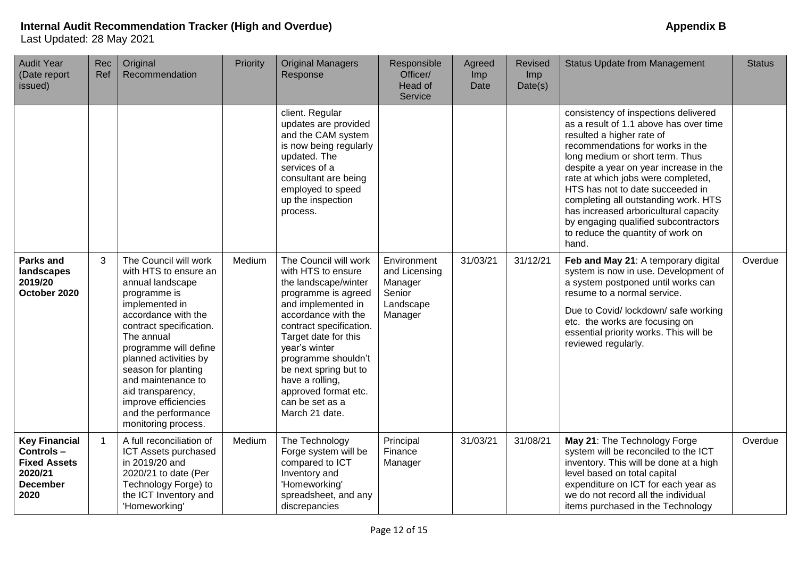#### **Internal Audit Recommendation Tracker (High and Overdue) Appendix B** Last Updated: 28 May 2021

| <b>Audit Year</b><br>(Date report<br>issued)                                                   | Rec<br>Ref | Original<br>Recommendation                                                                                                                                                                                                                                                                                                                                     | Priority | <b>Original Managers</b><br>Response                                                                                                                                                                                                                                                                                                        | Responsible<br>Officer/<br>Head of<br>Service                             | Agreed<br>Imp<br>Date | <b>Revised</b><br>Imp<br>Date(s) | <b>Status Update from Management</b>                                                                                                                                                                                                                                                                                                                                                                                                                                          | <b>Status</b> |
|------------------------------------------------------------------------------------------------|------------|----------------------------------------------------------------------------------------------------------------------------------------------------------------------------------------------------------------------------------------------------------------------------------------------------------------------------------------------------------------|----------|---------------------------------------------------------------------------------------------------------------------------------------------------------------------------------------------------------------------------------------------------------------------------------------------------------------------------------------------|---------------------------------------------------------------------------|-----------------------|----------------------------------|-------------------------------------------------------------------------------------------------------------------------------------------------------------------------------------------------------------------------------------------------------------------------------------------------------------------------------------------------------------------------------------------------------------------------------------------------------------------------------|---------------|
|                                                                                                |            |                                                                                                                                                                                                                                                                                                                                                                |          | client. Regular<br>updates are provided<br>and the CAM system<br>is now being regularly<br>updated. The<br>services of a<br>consultant are being<br>employed to speed<br>up the inspection<br>process.                                                                                                                                      |                                                                           |                       |                                  | consistency of inspections delivered<br>as a result of 1.1 above has over time<br>resulted a higher rate of<br>recommendations for works in the<br>long medium or short term. Thus<br>despite a year on year increase in the<br>rate at which jobs were completed,<br>HTS has not to date succeeded in<br>completing all outstanding work. HTS<br>has increased arboricultural capacity<br>by engaging qualified subcontractors<br>to reduce the quantity of work on<br>hand. |               |
| Parks and<br>landscapes<br>2019/20<br>October 2020                                             | 3          | The Council will work<br>with HTS to ensure an<br>annual landscape<br>programme is<br>implemented in<br>accordance with the<br>contract specification.<br>The annual<br>programme will define<br>planned activities by<br>season for planting<br>and maintenance to<br>aid transparency,<br>improve efficiencies<br>and the performance<br>monitoring process. | Medium   | The Council will work<br>with HTS to ensure<br>the landscape/winter<br>programme is agreed<br>and implemented in<br>accordance with the<br>contract specification.<br>Target date for this<br>year's winter<br>programme shouldn't<br>be next spring but to<br>have a rolling,<br>approved format etc.<br>can be set as a<br>March 21 date. | Environment<br>and Licensing<br>Manager<br>Senior<br>Landscape<br>Manager | 31/03/21              | 31/12/21                         | Feb and May 21: A temporary digital<br>system is now in use. Development of<br>a system postponed until works can<br>resume to a normal service.<br>Due to Covid/ lockdown/ safe working<br>etc. the works are focusing on<br>essential priority works. This will be<br>reviewed regularly.                                                                                                                                                                                   | Overdue       |
| <b>Key Financial</b><br>Controls-<br><b>Fixed Assets</b><br>2020/21<br><b>December</b><br>2020 |            | A full reconciliation of<br>ICT Assets purchased<br>in 2019/20 and<br>2020/21 to date (Per<br>Technology Forge) to<br>the ICT Inventory and<br>'Homeworking'                                                                                                                                                                                                   | Medium   | The Technology<br>Forge system will be<br>compared to ICT<br>Inventory and<br>'Homeworking'<br>spreadsheet, and any<br>discrepancies                                                                                                                                                                                                        | Principal<br>Finance<br>Manager                                           | 31/03/21              | 31/08/21                         | May 21: The Technology Forge<br>system will be reconciled to the ICT<br>inventory. This will be done at a high<br>level based on total capital<br>expenditure on ICT for each year as<br>we do not record all the individual<br>items purchased in the Technology                                                                                                                                                                                                             | Overdue       |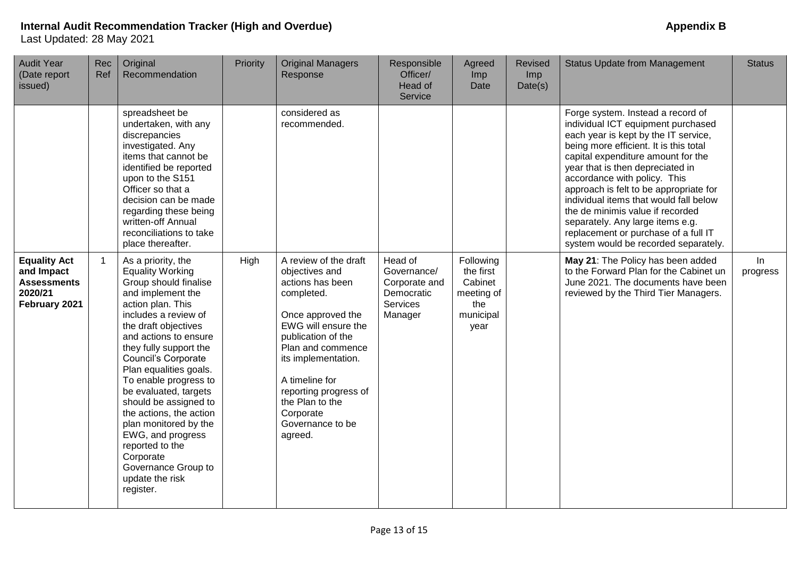| <b>Audit Year</b><br>(Date report<br>issued)                                        | Rec<br>Ref     | Original<br>Recommendation                                                                                                                                                                                                                                                                                                                                                                                                                                                                                      | Priority | <b>Original Managers</b><br>Response                                                                                                                                                                                                                                                              | Responsible<br>Officer/<br>Head of<br>Service                                       | Agreed<br>Imp<br>Date                                                       | <b>Revised</b><br>Imp<br>Date(s) | <b>Status Update from Management</b>                                                                                                                                                                                                                                                                                                                                                                                                                                                                            | <b>Status</b>  |
|-------------------------------------------------------------------------------------|----------------|-----------------------------------------------------------------------------------------------------------------------------------------------------------------------------------------------------------------------------------------------------------------------------------------------------------------------------------------------------------------------------------------------------------------------------------------------------------------------------------------------------------------|----------|---------------------------------------------------------------------------------------------------------------------------------------------------------------------------------------------------------------------------------------------------------------------------------------------------|-------------------------------------------------------------------------------------|-----------------------------------------------------------------------------|----------------------------------|-----------------------------------------------------------------------------------------------------------------------------------------------------------------------------------------------------------------------------------------------------------------------------------------------------------------------------------------------------------------------------------------------------------------------------------------------------------------------------------------------------------------|----------------|
|                                                                                     |                | spreadsheet be<br>undertaken, with any<br>discrepancies<br>investigated. Any<br>items that cannot be<br>identified be reported<br>upon to the S151<br>Officer so that a<br>decision can be made<br>regarding these being<br>written-off Annual<br>reconciliations to take<br>place thereafter.                                                                                                                                                                                                                  |          | considered as<br>recommended.                                                                                                                                                                                                                                                                     |                                                                                     |                                                                             |                                  | Forge system. Instead a record of<br>individual ICT equipment purchased<br>each year is kept by the IT service,<br>being more efficient. It is this total<br>capital expenditure amount for the<br>year that is then depreciated in<br>accordance with policy. This<br>approach is felt to be appropriate for<br>individual items that would fall below<br>the de minimis value if recorded<br>separately. Any large items e.g.<br>replacement or purchase of a full IT<br>system would be recorded separately. |                |
| <b>Equality Act</b><br>and Impact<br><b>Assessments</b><br>2020/21<br>February 2021 | $\overline{1}$ | As a priority, the<br><b>Equality Working</b><br>Group should finalise<br>and implement the<br>action plan. This<br>includes a review of<br>the draft objectives<br>and actions to ensure<br>they fully support the<br>Council's Corporate<br>Plan equalities goals.<br>To enable progress to<br>be evaluated, targets<br>should be assigned to<br>the actions, the action<br>plan monitored by the<br>EWG, and progress<br>reported to the<br>Corporate<br>Governance Group to<br>update the risk<br>register. | High     | A review of the draft<br>objectives and<br>actions has been<br>completed.<br>Once approved the<br>EWG will ensure the<br>publication of the<br>Plan and commence<br>its implementation.<br>A timeline for<br>reporting progress of<br>the Plan to the<br>Corporate<br>Governance to be<br>agreed. | Head of<br>Governance/<br>Corporate and<br>Democratic<br><b>Services</b><br>Manager | Following<br>the first<br>Cabinet<br>meeting of<br>the<br>municipal<br>year |                                  | May 21: The Policy has been added<br>to the Forward Plan for the Cabinet un<br>June 2021. The documents have been<br>reviewed by the Third Tier Managers.                                                                                                                                                                                                                                                                                                                                                       | ln<br>progress |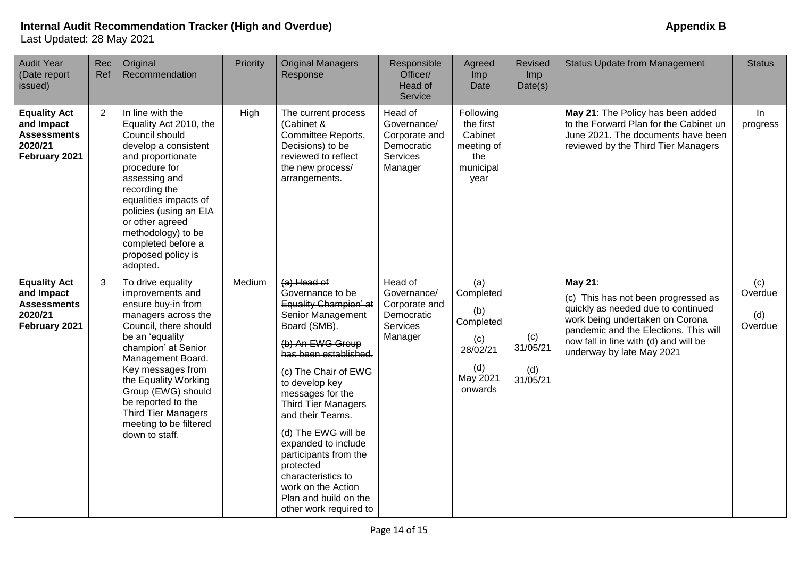| <b>Audit Year</b><br>(Date report<br>issued)                                        | Rec<br>Ref     | Original<br>Recommendation                                                                                                                                                                                                                                                                                                                    | Priority | <b>Original Managers</b><br>Response                                                                                                                                                                                                                                                                                                                                                                                                            | Responsible<br>Officer/<br>Head of<br>Service                                | Agreed<br>Imp<br>Date                                                                 | <b>Revised</b><br>Imp<br>Date(s)   | <b>Status Update from Management</b>                                                                                                                                                                                                   | <b>Status</b>                    |
|-------------------------------------------------------------------------------------|----------------|-----------------------------------------------------------------------------------------------------------------------------------------------------------------------------------------------------------------------------------------------------------------------------------------------------------------------------------------------|----------|-------------------------------------------------------------------------------------------------------------------------------------------------------------------------------------------------------------------------------------------------------------------------------------------------------------------------------------------------------------------------------------------------------------------------------------------------|------------------------------------------------------------------------------|---------------------------------------------------------------------------------------|------------------------------------|----------------------------------------------------------------------------------------------------------------------------------------------------------------------------------------------------------------------------------------|----------------------------------|
| <b>Equality Act</b><br>and Impact<br><b>Assessments</b><br>2020/21<br>February 2021 | $\overline{2}$ | In line with the<br>Equality Act 2010, the<br>Council should<br>develop a consistent<br>and proportionate<br>procedure for<br>assessing and<br>recording the<br>equalities impacts of<br>policies (using an EIA<br>or other agreed<br>methodology) to be<br>completed before a<br>proposed policy is<br>adopted.                              | High     | The current process<br>(Cabinet &<br>Committee Reports,<br>Decisions) to be<br>reviewed to reflect<br>the new process/<br>arrangements.                                                                                                                                                                                                                                                                                                         | Head of<br>Governance/<br>Corporate and<br>Democratic<br>Services<br>Manager | Following<br>the first<br>Cabinet<br>meeting of<br>the<br>municipal<br>year           |                                    | May 21: The Policy has been added<br>to the Forward Plan for the Cabinet un<br>June 2021. The documents have been<br>reviewed by the Third Tier Managers                                                                               | In<br>progress                   |
| <b>Equality Act</b><br>and Impact<br><b>Assessments</b><br>2020/21<br>February 2021 | 3              | To drive equality<br>improvements and<br>ensure buy-in from<br>managers across the<br>Council, there should<br>be an 'equality<br>champion' at Senior<br>Management Board.<br>Key messages from<br>the Equality Working<br>Group (EWG) should<br>be reported to the<br><b>Third Tier Managers</b><br>meeting to be filtered<br>down to staff. | Medium   | $(a)$ Head of<br>Governance to be<br>Equality Champion' at<br>Senior Management<br>Board (SMB).<br>(b) An EWG Group<br>has been established.<br>(c) The Chair of EWG<br>to develop key<br>messages for the<br><b>Third Tier Managers</b><br>and their Teams.<br>(d) The EWG will be<br>expanded to include<br>participants from the<br>protected<br>characteristics to<br>work on the Action<br>Plan and build on the<br>other work required to | Head of<br>Governance/<br>Corporate and<br>Democratic<br>Services<br>Manager | (a)<br>Completed<br>(b)<br>Completed<br>(c)<br>28/02/21<br>(d)<br>May 2021<br>onwards | (c)<br>31/05/21<br>(d)<br>31/05/21 | May 21:<br>(c) This has not been progressed as<br>quickly as needed due to continued<br>work being undertaken on Corona<br>pandemic and the Elections. This will<br>now fall in line with (d) and will be<br>underway by late May 2021 | (c)<br>Overdue<br>(d)<br>Overdue |